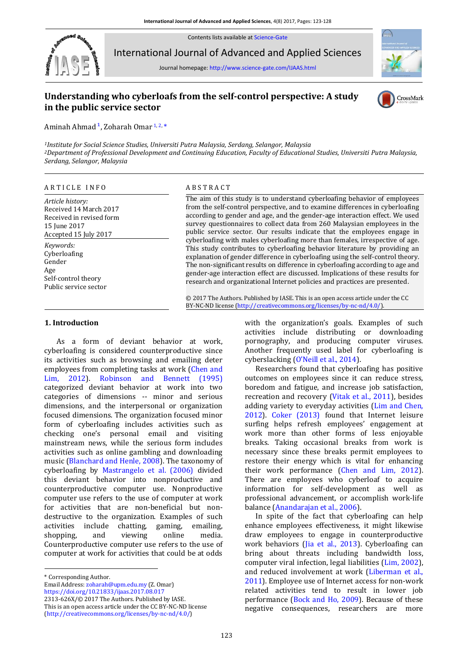Contents lists available a[t Science-Gate](http://www.science-gate.com/)



International Journal of Advanced and Applied Sciences

Journal homepage[: http://www.science-gate.com/IJAAS.html](http://www.science-gate.com/IJAAS.html)

# **Understanding who cyberloafs from the self-control perspective: A study in the public service sector**



# CrossMark

Aminah Ahmad<sup>1</sup>, Zoharah Omar<sup>1, 2,[\\*](#page-0-1)</sup>

<span id="page-0-0"></span>*<sup>1</sup>Institute for Social Science Studies, Universiti Putra Malaysia, Serdang, Selangor, Malaysia <sup>2</sup>Department of Professional Development and Continuing Education, Faculty of Educational Studies, Universiti Putra Malaysia, Serdang, Selangor, Malaysia*

#### ARTICLE INFO<br>
ABSTRACT

*Article history:* Received 14 March 2017 Received in revised form 15 June 2017 Accepted 15 July 2017 *Keywords:* Cyberloafing Gender  $A\sigma\rho$ Self-control theory Public service sector

The aim of this study is to understand cyberloafing behavior of employees from the self-control perspective, and to examine differences in cyberloafing according to gender and age, and the gender-age interaction effect. We used survey questionnaires to collect data from 260 Malaysian employees in the public service sector. Our results indicate that the employees engage in cyberloafing with males cyberloafing more than females, irrespective of age. This study contributes to cyberloafing behavior literature by providing an explanation of gender difference in cyberloafing using the self-control theory. The non-significant results on difference in cyberloafing according to age and gender-age interaction effect are discussed. Implications of these results for research and organizational Internet policies and practices are presented.

© 2017 The Authors. Published by IASE. This is an open access article under the CC BY-NC-ND license [\(http://creativecommons.org/licenses/by-nc-nd/4.0/\)](http://creativecommons.org/licenses/by-nc-nd/4.0/).

#### **1. Introduction**

As a form of deviant behavior at work, cyberloafing is considered counterproductive since its activities such as browsing and emailing deter employees from completing tasks at work [\(Chen and](#page-4-0)  [Lim, 2012\)](#page-4-0). [Robinson and Bennett \(1995\)](#page-4-0). categorized deviant behavior at work into two categories of dimensions -- minor and serious dimensions, and the interpersonal or organization focused dimensions. The organization focused minor form of cyberloafing includes activities such as checking one's personal email and visiting mainstream news, while the serious form includes activities such as online gambling and downloading music [\(Blanchard and Henle, 2008\)](#page-4-0). The taxonomy of cyberloafing by [Mastrangelo et al. \(2006\)](#page-4-0) divided this deviant behavior into nonproductive and counterproductive computer use. Nonproductive computer use refers to the use of computer at work for activities that are non-beneficial but nondestructive to the organization. Examples of such activities include chatting, gaming, emailing, shopping, and viewing online media. Counterproductive computer use refers to the use of computer at work for activities that could be at odds

<span id="page-0-1"></span>\* Corresponding Author.

1

Email Address[: zoharah@upm.edu.my](mailto:zoharah@upm.edu.my) (Z. Omar)

<https://doi.org/10.21833/ijaas.2017.08.017>

2313-626X/© 2017 The Authors. Published by IASE. This is an open access article under the CC BY-NC-ND license [\(http://creativecommons.org/licenses/by-nc-nd/4.0/\)](http://creativecommons.org/licenses/by-nc-nd/4.0/)

with the organization's goals. Examples of such activities include distributing or downloading pornography, and producing computer viruses. Another frequently used label for cyberloafing is cyberslacking ([O'Neill et al., 2014](#page-4-0)).

Researchers found that cyberloafing has positive outcomes on employees since it can reduce stress, boredom and fatigue, and increase job satisfaction, recreation and recovery [\(Vitak et al., 2011\)](#page-4-0), besides adding variety to everyday activities [\(Lim and Chen,](#page-4-0)  [2012\)](#page-4-0). [Coker \(2013\)](#page-4-0) found that Internet leisure surfing helps refresh employees' engagement at work more than other forms of less enjoyable breaks. Taking occasional breaks from work is necessary since these breaks permit employees to restore their energy which is vital for enhancing their work performance [\(Chen and Lim, 2012\)](#page-4-0). There are employees who cyberloaf to acquire information for self-development as well as professional advancement, or accomplish work-life balance [\(Anandarajan et al., 2006\)](#page-4-0).

In spite of the fact that cyberloafing can help enhance employees effectiveness, it might likewise draw employees to engage in counterproductive work behaviors [\(Jia et al.,](#page-4-0) 2013). Cyberloafing can bring about threats including bandwidth loss, computer viral infection, legal liabilities [\(Lim, 2002\)](#page-4-0), and reduced involvement at work [\(Liberman et al.,](#page-4-0)  [2011\)](#page-4-0). Employee use of Internet access for non-work related activities tend to result in lower job performance [\(Bock and Ho, 2009\)](#page-4-0). Because of these negative consequences, researchers are more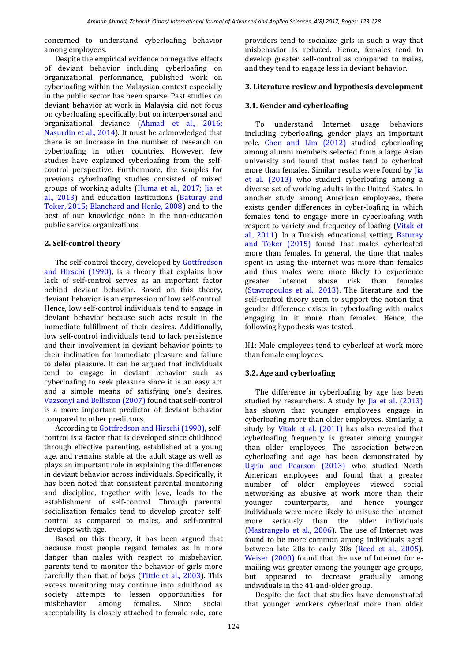concerned to understand cyberloafing behavior among employees.

Despite the empirical evidence on negative effects of deviant behavior including cyberloafing on organizational performance, published work on cyberloafing within the Malaysian context especially in the public sector has been sparse. Past studies on deviant behavior at work in Malaysia did not focus on cyberloafing specifically, but on interpersonal and organizational deviance [\(Ahmad et al., 2016;](#page-4-0)  [Nasurdin et al., 2014\)](#page-4-0). It must be acknowledged that there is an increase in the number of research on cyberloafing in other countries. However, few studies have explained cyberloafing from the selfcontrol perspective. Furthermore, the samples for previous cyberloafing studies consisted of mixed groups of working adults [\(Huma et al., 2017; Jia et](#page-4-0)  [al., 2013\)](#page-4-0) and education institutions [\(Baturay and](#page-4-0)  [Toker, 2015; Blanchard and Henle, 2008\)](#page-4-0) and to the best of our knowledge none in the non-education public service organizations.

# **2. Self-control theory**

The self-control theory, developed b[y Gottfredson](#page-4-0)  [and Hirschi \(1990\),](#page-4-0) is a theory that explains how lack of [self-control](https://en.wikipedia.org/wiki/Self-control) serves as an important factor behind [deviant behavior.](https://en.wikipedia.org/wiki/Criminal_behavior) Based on this theory, deviant behavior is an expression of low self-control. Hence, low self-control individuals tend to engage in deviant behavior because such acts result in the immediate fulfillment of their desires. Additionally, low self-control individuals tend to lack persistence and their involvement in deviant behavior points to their inclination for immediate pleasure and failure to defer pleasure. It can be argued that individuals tend to engage in deviant behavior such as cyberloafing to seek pleasure since it is an easy act and a simple means of satisfying one's desires. [Vazsonyi and Belliston \(2007\)](#page-4-0) found that self-control is a more important predictor of deviant behavior compared to other predictors.

According t[o Gottfredson and Hirschi \(1990\),](#page-4-0) selfcontrol is a factor that is developed since childhood through effective parenting, established at a young age, and remains stable at the adult stage as well as plays an important role in explaining the differences in deviant behavior across individuals. Specifically, it has been noted that consistent parental monitoring and discipline, together with love, leads to the establishment of self-control. Through parental socialization females tend to develop greater selfcontrol as compared to males, and self-control develops with age.

Based on this theory, it has been argued that because most people regard females as in more danger than males with respect to misbehavior, parents tend to monitor the behavior of girls more carefully than that of boys [\(Tittle et al., 2003\)](#page-4-0). This excess monitoring may continue into adulthood as society attempts to lessen opportunities for misbehavior among females. Since social acceptability is closely attached to female role, care

providers tend to socialize girls in such a way that misbehavior is reduced. Hence, females tend to develop greater self-control as compared to males, and they tend to engage less in deviant behavior.

### **3. Literature review and hypothesis development**

#### **3.1. Gender and cyberloafing**

To understand Internet usage behaviors including cyberloafing, gender plays an important role. [Chen and Lim \(2012\)](#page-4-0) studied cyberloafing among alumni members selected from a large Asian university and found that males tend to cyberloaf more than females. Similar results were found by [Jia](#page-4-0)  [et al. \(2013\)](#page-4-0) who studied cyberloafing among a diverse set of working adults in the United States. In another study among American employees, there exists gender differences in cyber-loafing in which females tend to engage more in cyberloafing with respect to variety and frequency of loafing [\(Vitak et](#page-4-0)  [al., 2011\)](#page-4-0). In a Turkish educational setting, [Baturay](#page-4-0)  [and Toker \(2015\)](#page-4-0) found that males cyberloafed more than females. In general, the time that males spent in using the internet was more than females and thus males were more likely to experience greater Internet abuse risk than females [\(Stavropoulos et al., 2013\)](#page-4-0). The literature and the self-control theory seem to support the notion that gender difference exists in cyberloafing with males engaging in it more than females. Hence, the following hypothesis was tested.

H1: Male employees tend to cyberloaf at work more than female employees.

### **3.2. Age and cyberloafing**

The difference in cyberloafing by age has been studied by researchers. A study by [Jia et al. \(2013\)](#page-4-0) has shown that younger employees engage in cyberloafing more than older employees. Similarly, a study by [Vitak et al. \(2011\)](#page-4-0) has also revealed that cyberloafing frequency is greater among younger than older employees. The association between cyberloafing and age has been demonstrated by [Ugrin and Pearson \(2013\)](#page-4-0) who studied North American employees and found that a greater number of older employees viewed social networking as abusive at work more than their younger counterparts, and hence younger individuals were more likely to misuse the Internet more seriously than the older individuals [\(Mastrangelo et al., 2006\)](#page-4-0). The use of Internet was found to be more common among individuals aged between late 20s to early 30s [\(Reed et al., 2005\)](#page-4-0). [Weiser \(2000\)](#page-4-0) found that the use of Internet for emailing was greater among the younger age groups, but appeared to decrease gradually among individuals in the 41-and-older group.

Despite the fact that studies have demonstrated that younger workers cyberloaf more than older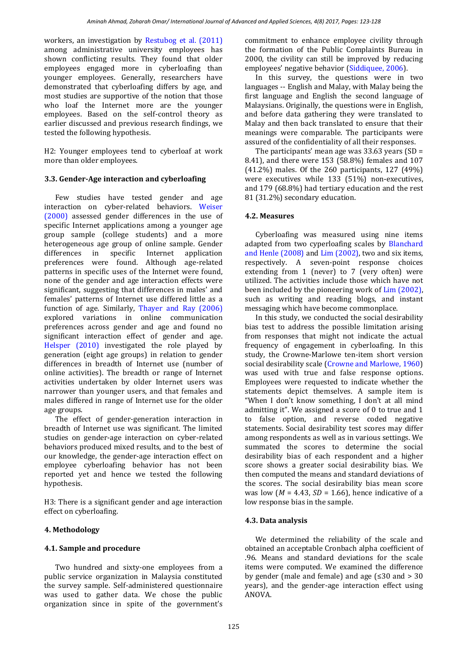workers, an investigation by [Restubog et al. \(2011\)](#page-4-0) among administrative university employees has shown conflicting results. They found that older employees engaged more in cyberloafing than younger employees. Generally, researchers have demonstrated that cyberloafing differs by age, and most studies are supportive of the notion that those who loaf the Internet more are the younger employees. Based on the self-control theory as earlier discussed and previous research findings, we tested the following hypothesis.

H2: Younger employees tend to cyberloaf at work more than older employees.

# **3.3. Gender-Age interaction and cyberloafing**

Few studies have tested gender and age interaction on cyber-related behaviors. [Weiser](#page-4-0)  [\(2000\)](#page-4-0) assessed gender differences in the use of specific Internet applications among a younger age group sample (college students) and a more heterogeneous age group of online sample. Gender differences in specific Internet application preferences were found. Although age-related patterns in specific uses of the Internet were found, none of the gender and age interaction effects were significant, suggesting that differences in males' and females' patterns of Internet use differed little as a function of age. Similarly, [Thayer and Ray \(2006\)](#page-4-0) explored variations in online communication preferences across gender and age and found no significant interaction effect of gender and age. [Helsper \(2010\)](#page-4-0) investigated the role played by generation (eight age groups) in relation to gender differences in breadth of Internet use (number of online activities). The breadth or range of Internet activities undertaken by older Internet users was narrower than younger users, and that females and males differed in range of Internet use for the older age groups.

The effect of gender-generation interaction in breadth of Internet use was significant. The limited studies on gender-age interaction on cyber-related behaviors produced mixed results, and to the best of our knowledge, the gender-age interaction effect on employee cyberloafing behavior has not been reported yet and hence we tested the following hypothesis.

H3: There is a significant gender and age interaction effect on cyberloafing.

# **4. Methodology**

# **4.1. Sample and procedure**

Two hundred and sixty-one employees from a public service organization in Malaysia constituted the survey sample. Self-administered questionnaire was used to gather data. We chose the public organization since in spite of the government's commitment to enhance employee civility through the formation of the Public Complaints Bureau in 2000, the civility can still be improved by reducing employees' negative behavior ([Siddiquee, 2006\)](#page-4-0).

In this survey, the questions were in two languages -- English and Malay, with Malay being the first language and English the second language of Malaysians. Originally, the questions were in English, and before data gathering they were translated to Malay and then back translated to ensure that their meanings were comparable. The participants were assured of the confidentiality of all their responses.

The participants' mean age was  $33.63$  years (SD = 8.41), and there were 153 (58.8%) females and 107 (41.2%) males. Of the 260 participants, 127 (49%) were executives while 133 (51%) non-executives, and 179 (68.8%) had tertiary education and the rest 81 (31.2%) secondary education.

# **4.2. Measures**

Cyberloafing was measured using nine items adapted from two cyperloafing scales by [Blanchard](#page-4-0)  [and Henle \(2008\)](#page-4-0) and [Lim \(2002\),](#page-4-0) two and six items, respectively. A seven-point response choices extending from 1 (never) to 7 (very often) were utilized. The activities include those which have not been included by the pioneering work of [Lim \(2002\),](#page-4-0)  such as writing and reading blogs, and instant messaging which have become commonplace.

In this study, we conducted the social desirability bias test to address the possible limitation arising from responses that might not indicate the actual frequency of engagement in cyberloafing. In this study, the Crowne-Marlowe ten-item short version social desirability scale [\(Crowne and Marlowe, 1960\)](#page-4-0) was used with true and false response options. Employees were requested to indicate whether the statements depict themselves. A sample item is "When I don't know something, I don't at all mind admitting it". We assigned a score of 0 to true and 1 to false option, and reverse coded negative statements. Social desirability test scores may differ among respondents as well as in various settings. We summated the scores to determine the social desirability bias of each respondent and a higher score shows a greater social desirability bias. We then computed the means and standard deviations of the scores. The social desirability bias mean score was low  $(M = 4.43, SD = 1.66)$ , hence indicative of a low response bias in the sample.

### **4.3. Data analysis**

We determined the reliability of the scale and obtained an acceptable Cronbach alpha coefficient of .96. Means and standard deviations for the scale items were computed. We examined the difference by gender (male and female) and age  $\leq 30$  and  $> 30$ years), and the gender-age interaction effect using ANOVA.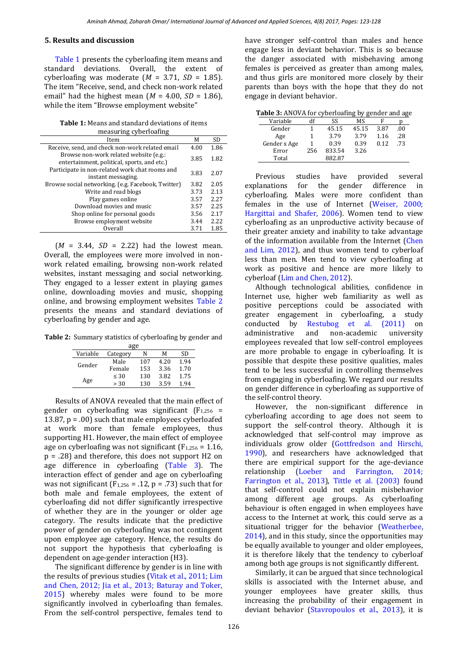#### **5. Results and discussion**

[Table 1](#page-3-0) presents the cyberloafing item means and standard deviations. Overall, the extent of cyberloafing was moderate  $(M = 3.71, SD = 1.85)$ . The item "Receive, send, and check non-work related email" had the highest mean  $(M = 4.00, SD = 1.86)$ , while the item "Browse employment website"

**Table 1:** Means and standard deviations of items measuring cyberloafing

<span id="page-3-0"></span>

| Item                                                                                  | М    | <b>SD</b> |
|---------------------------------------------------------------------------------------|------|-----------|
| Receive, send, and check non-work related email                                       | 4.00 | 1.86      |
| Browse non-work related website (e.g.:<br>entertainment, political, sports, and etc.) | 3.85 | 1.82      |
| Participate in non-related work chat rooms and<br>instant messaging.                  | 3.83 | 2.07      |
| Browse social networking. (e.g. Facebook, Twitter)                                    | 3.82 | 2.05      |
| Write and read blogs                                                                  | 3.73 | 2.13      |
| Play games online                                                                     | 3.57 | 2.27      |
| Download movies and music                                                             | 3.57 | 2.25      |
| Shop online for personal goods                                                        | 3.56 | 2.17      |
| Browse employment website                                                             | 3.44 | 2.22      |
| Overall                                                                               | 3.71 | 1.85      |
|                                                                                       |      |           |

 $(M = 3.44, SD = 2.22)$  had the lowest mean. Overall, the employees were more involved in nonwork related emailing, browsing non-work related websites, instant messaging and social networking. They engaged to a lesser extent in playing games online, downloading movies and music, shopping online, and browsing employment websites [Table 2](#page-3-1) presents the means and standard deviations of cyberloafing by gender and age.

**Table 2:** Summary statistics of cyberloafing by gender and

<span id="page-3-1"></span>

| age      |           |     |      |      |  |  |  |  |
|----------|-----------|-----|------|------|--|--|--|--|
| Variable | Category  | N   | М    | SD   |  |  |  |  |
| Gender   | Male      | 107 | 4.20 | 1.94 |  |  |  |  |
|          | Female    | 153 | 3.36 | 1.70 |  |  |  |  |
| Age      | $\leq 30$ | 130 | 3.82 | 1.75 |  |  |  |  |
|          | > 30      | 130 | 3.59 | 1.94 |  |  |  |  |

Results of ANOVA revealed that the main effect of gender on cyberloafing was significant  $(F_{1,256} =$ 13.87,  $p = .00$ ) such that male employees cyberloafed at work more than female employees, thus supporting H1. However, the main effect of employee age on cyberloafing was not significant ( $F_{1,256} = 1.16$ , p = .28) and therefore, this does not support H2 on age difference in cyberloafing [\(Table](#page-3-2) 3). The interaction effect of gender and age on cyberloafing was not significant ( $F_{1,256} = .12$ ,  $p = .73$ ) such that for both male and female employees, the extent of cyberloafing did not differ significantly irrespective of whether they are in the younger or older age category. The results indicate that the predictive power of gender on cyberloafing was not contingent upon employee age category. Hence, the results do not support the hypothesis that cyberloafing is dependent on age-gender interaction (H3).

The significant difference by gender is in line with the results of previous studies [\(Vitak et al., 2011; Lim](#page-4-0)  [and Chen, 2012; Jia et al., 2013; Baturay and Toker,](#page-4-0)  [2015\)](#page-4-0) whereby males were found to be more significantly involved in cyberloafing than females. From the self-control perspective, females tend to have stronger self-control than males and hence engage less in deviant behavior. This is so because the danger associated with misbehaving among females is perceived as greater than among males, and thus girls are monitored more closely by their parents than boys with the hope that they do not engage in deviant behavior.

**Table 3:** ANOVA for cyberloafing by gender and age

<span id="page-3-2"></span>

| Lable 5: ANOVA TOL CYDELIOAITIIG DY GEHUEL AIIU AGE |     |        |       |      |     |
|-----------------------------------------------------|-----|--------|-------|------|-----|
| Variable                                            | df  | SS     | ΜS    |      |     |
| Gender                                              |     | 45.15  | 45.15 | 3.87 | .00 |
| Age                                                 |     | 3.79   | 3.79  | 1.16 | .28 |
| Gender x Age                                        |     | 0.39   | 0.39  | 0.12 | .73 |
| Error                                               | 256 | 833.54 | 3.26  |      |     |
| Total                                               |     | 882.87 |       |      |     |

Previous studies have provided several explanations for the gender difference in cyberloafing. Males were more confident than females in the use of Internet [\(Weiser, 2000;](#page-4-0)  [Hargittai and Shafer, 2006\)](#page-4-0). Women tend to view cyberloafing as an unproductive activity because of their greater anxiety and inability to take advantage of the information available from the Internet [\(Chen](#page-4-0)  [and Lim, 2012\)](#page-4-0), and thus women tend to cyberloaf less than men. Men tend to view cyberloafing at work as positive and hence are more likely to cyberloaf [\(Lim and Chen, 2012\)](#page-4-0).

Although technological abilities, confidence in Internet use, higher web familiarity as well as positive perceptions could be associated with greater engagement in cyberloafing, a study conducted by [Restubog et al. \(2011\)](#page-4-0) on administrative and non-academic university employees revealed that low self-control employees are more probable to engage in cyberloafing. It is possible that despite these positive qualities, males tend to be less successful in controlling themselves from engaging in cyberloafing. We regard our results on gender difference in cyberloafing as supportive of the self-control theory.

However, the non-significant difference in cyberloafing according to age does not seem to support the self-control theory. Although it is acknowledged that self-control may improve as individuals grow older [\(Gottfredson and Hirschi,](#page-4-0)  [1990\)](#page-4-0), and researchers have acknowledged that there are empirical support for the age-deviance relationship [\(Loeber and Farrington, 2014;](#page-4-0)  [Farrington et al., 2013\)](#page-4-0), [Tittle et al. \(2003\)](#page-4-0) found that self-control could not explain misbehavior among different age groups. As cyberloafing behaviour is often engaged in when employees have access to the Internet at work, this could serve as a situational trigger for the behavior [\(Weatherbee,](#page-4-0)  [2014\)](#page-4-0), and in this study, since the opportunities may be equally available to younger and older employees, it is therefore likely that the tendency to cyberloaf among both age groups is not significantly different.

Similarly, it can be argued that since technological skills is associated with the Internet abuse, and younger employees have greater skills, thus increasing the probability of their engagement in deviant behavior [\(Stavropoulos et al., 2013\)](#page-4-0), it is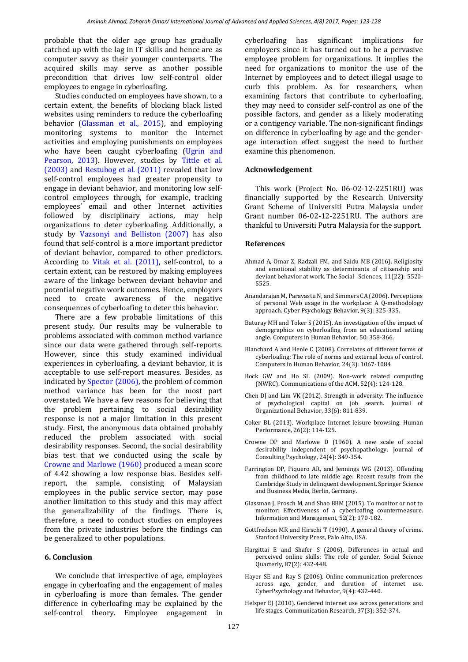probable that the older age group has gradually catched up with the lag in IT skills and hence are as computer savvy as their younger counterparts. The acquired skills may serve as another possible precondition that drives low self-control older employees to engage in cyberloafing.

Studies conducted on employees have shown, to a certain extent, the benefits of blocking black listed websites using reminders to reduce the cyberloafing behavior [\(Glassman et al., 2015\)](#page-4-0), and employing monitoring systems to monitor the Internet activities and employing punishments on employees who have been caught cyberloafing (Ugrin and [Pearson, 2013\)](#page-4-0). However, studies by Tittle [et al.](#page-4-0)  [\(2003\)](#page-4-0) and [Restubog et al. \(2011\)](#page-4-0) revealed that low self-control employees had greater propensity to engage in deviant behavior, and monitoring low selfcontrol employees through, for example, tracking employees' email and other Internet activities followed by disciplinary actions, may help organizations to deter cyberloafing. Additionally, a study by [Vazsonyi and Belliston \(2007\)](#page-4-0) has also found that self-control is a more important predictor of deviant behavior, compared to other predictors. According to [Vitak et al. \(2011\),](#page-4-0) self-control, to a certain extent, can be restored by making employees aware of the linkage between deviant behavior and potential negative work outcomes. Hence, employers need to create awareness of the negative consequences of cyberloafing to deter this behavior.

There are a few probable limitations of this present study. Our results may be vulnerable to problems associated with common method variance since our data were gathered through self-reports. However, since this study examined individual experiences in cyberloafing, a deviant behavior, it is acceptable to use self-report measures. Besides, as indicated b[y Spector \(2006\),](#page-4-0) the problem of common method variance has been for the most part overstated. We have a few reasons for believing that the problem pertaining to social desirability response is not a major limitation in this present study. First, the anonymous data obtained probably reduced the problem associated with social desirability responses. Second, the social desirability bias test that we conducted using the scale by [Crowne and Marlowe \(1960\)](#page-4-0) produced a mean score of 4.42 showing a low response bias. Besides selfreport, the sample, consisting of Malaysian employees in the public service sector, may pose another limitation to this study and this may affect the generalizability of the findings. There is, therefore, a need to conduct studies on employees from the private industries before the findings can be generalized to other populations.

### **6. Conclusion**

We conclude that irrespective of age, employees engage in cyberloafing and the engagement of males in cyberloafing is more than females. The gender difference in cyberloafing may be explained by the self-control theory. Employee engagement in cyberloafing has significant implications for employers since it has turned out to be a pervasive employee problem for organizations. It implies the need for organizations to monitor the use of the Internet by employees and to detect illegal usage to curb this problem. As for researchers, when examining factors that contribute to cyberloafing, they may need to consider self-control as one of the possible factors, and gender as a likely moderating or a contigency variable. The non-significant findings on difference in cyberloafing by age and the genderage interaction effect suggest the need to further examine this phenomenon.

#### **Acknowledgement**

This work (Project No. 06-02-12-2251RU) was financially supported by the Research University Grant Scheme of Universiti Putra Malaysia under Grant number 06-02-12-2251RU. The authors are thankful to Universiti Putra Malaysia for the support.

#### <span id="page-4-0"></span>**References**

- Ahmad A, Omar Z, Radzali FM, and Saidu MB (2016). Religiosity and emotional stability as determinants of citizenship and deviant behavior at work. The Social Sciences, 11(22): 5520- 5525.
- Anandarajan M, Paravastu N, and Simmers CA (2006). Perceptions of personal Web usage in the workplace: A Q-methodology approach. Cyber Psychology Behavior, 9(3): 325-335.
- Baturay MH and Toker S (2015). An investigation of the impact of demographics on cyberloafing from an educational setting angle. Computers in Human Behavior, 50: 358-366.
- Blanchard A and Henle C (2008). Correlates of different forms of cyberloafing: The role of norms and external locus of control. Computers in Human Behavior, 24(3): 1067-1084.
- Bock GW and Ho SL (2009). Non-work related computing (NWRC). Communications of the ACM, 52(4): 124-128.
- Chen DJ and Lim VK (2012). Strength in adversity: The influence of psychological capital on job search. Journal of Organizational Behavior, 33(6): 811-839.
- Coker BL (2013). Workplace Internet leisure browsing. Human Performance, 26(2): 114-125.
- Crowne DP and Marlowe D (1960). A new scale of social desirability independent of psychopathology. Journal of Consulting Psychology, 24(4): 349-354.
- Farrington DP, Piquero AR, and Jennings WG (2013). Offending from childhood to late middle age: Recent results from the Cambridge Study in delinquent development. Springer Science and Business Media, Berlin, Germany.
- Glassman J, Prosch M, and Shao BBM (2015). To monitor or not to monitor: Effectiveness of a cyberloafing countermeasure. Information and Management, 52(2): 170-182.
- Gottfredson MR and Hirschi T (1990). A general theory of crime. Stanford University Press[, Palo Alto, USA.](https://www.google.com/search?biw=1024&bih=445&q=Palo+Alto+California&stick=H4sIAAAAAAAAAOPgE-LUz9U3MMm1KC5R4gAx0wxMkrW0spOt9POL0hPzMqsSSzLz81A4VhmpiSmFpYlFJalFxQBd_G8rQwAAAA&sa=X&ved=0ahUKEwjJq_KG_9XUAhVhM5oKHRmeB0MQmxMImAEoATAX)
- Hargittai E and Shafer S (2006). Differences in actual and perceived online skills: The role of gender. Social Science Quarterly, 87(2): 432-448.
- Hayer SE and Ray S (2006). Online communication preferences across age, gender, and duration of internet use. CyberPsychology and Behavior, 9(4): 432-440.
- Helsper EJ (2010). Gendered internet use across generations and life stages. Communication Research, 37(3): 352-374.